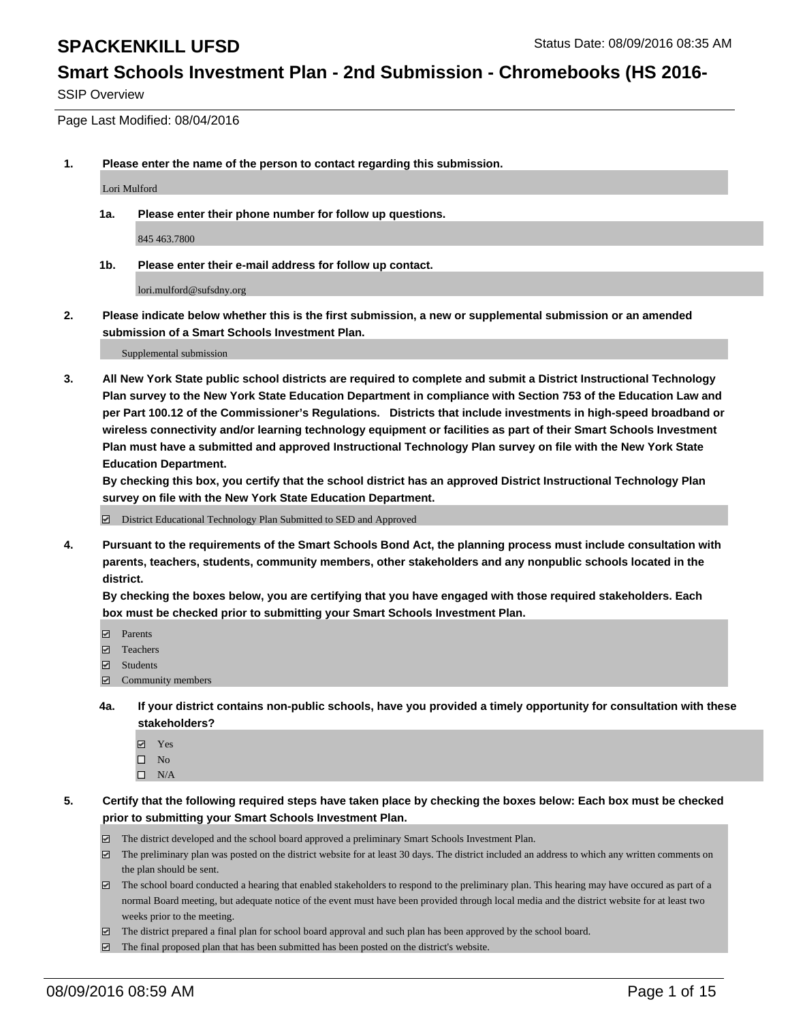## **Smart Schools Investment Plan - 2nd Submission - Chromebooks (HS 2016-**

SSIP Overview

Page Last Modified: 08/04/2016

**1. Please enter the name of the person to contact regarding this submission.**

Lori Mulford

**1a. Please enter their phone number for follow up questions.**

845 463.7800

**1b. Please enter their e-mail address for follow up contact.**

lori.mulford@sufsdny.org

**2. Please indicate below whether this is the first submission, a new or supplemental submission or an amended submission of a Smart Schools Investment Plan.**

Supplemental submission

**3. All New York State public school districts are required to complete and submit a District Instructional Technology Plan survey to the New York State Education Department in compliance with Section 753 of the Education Law and per Part 100.12 of the Commissioner's Regulations. Districts that include investments in high-speed broadband or wireless connectivity and/or learning technology equipment or facilities as part of their Smart Schools Investment Plan must have a submitted and approved Instructional Technology Plan survey on file with the New York State Education Department.** 

**By checking this box, you certify that the school district has an approved District Instructional Technology Plan survey on file with the New York State Education Department.**

District Educational Technology Plan Submitted to SED and Approved

**4. Pursuant to the requirements of the Smart Schools Bond Act, the planning process must include consultation with parents, teachers, students, community members, other stakeholders and any nonpublic schools located in the district.** 

**By checking the boxes below, you are certifying that you have engaged with those required stakeholders. Each box must be checked prior to submitting your Smart Schools Investment Plan.**

- **Parents**
- □ Teachers
- $\blacksquare$  Students
- Community members
- **4a. If your district contains non-public schools, have you provided a timely opportunity for consultation with these stakeholders?**
	- Yes  $\square$  No
	- $\square$  N/A
- **5. Certify that the following required steps have taken place by checking the boxes below: Each box must be checked prior to submitting your Smart Schools Investment Plan.**
	- The district developed and the school board approved a preliminary Smart Schools Investment Plan.
	- $\boxdot$  The preliminary plan was posted on the district website for at least 30 days. The district included an address to which any written comments on the plan should be sent.
	- $\Box$  The school board conducted a hearing that enabled stakeholders to respond to the preliminary plan. This hearing may have occured as part of a normal Board meeting, but adequate notice of the event must have been provided through local media and the district website for at least two weeks prior to the meeting.
	- The district prepared a final plan for school board approval and such plan has been approved by the school board.
	- $\boxdot$  The final proposed plan that has been submitted has been posted on the district's website.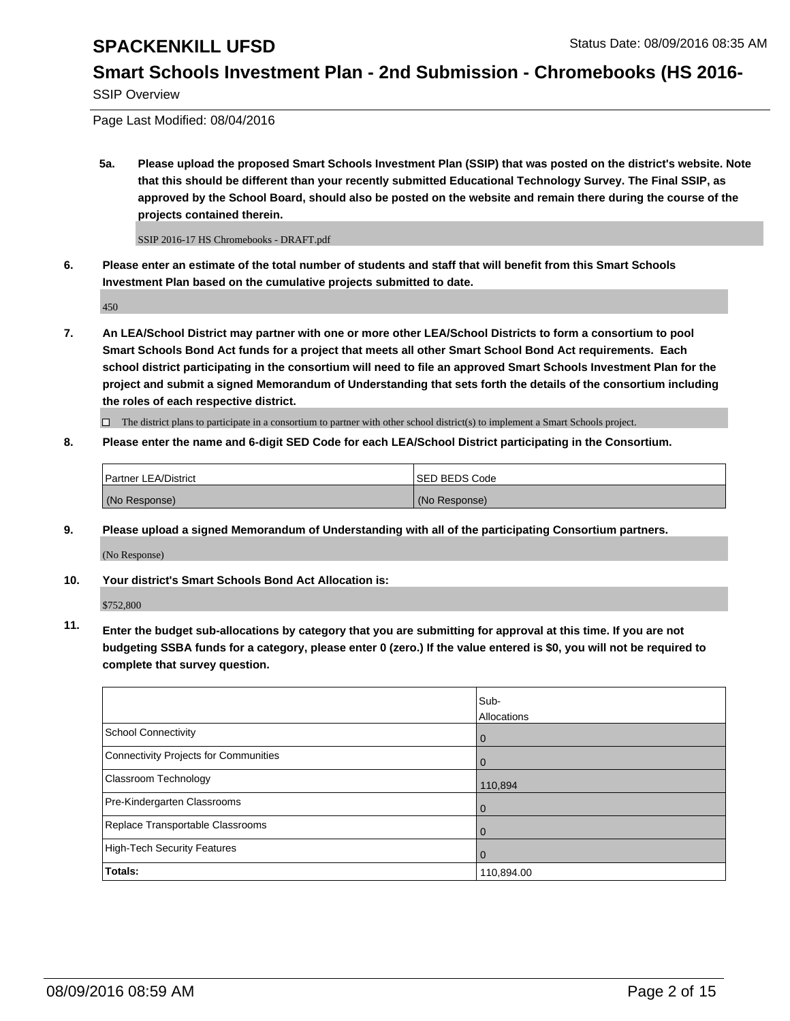## **Smart Schools Investment Plan - 2nd Submission - Chromebooks (HS 2016-**

SSIP Overview

Page Last Modified: 08/04/2016

**5a. Please upload the proposed Smart Schools Investment Plan (SSIP) that was posted on the district's website. Note that this should be different than your recently submitted Educational Technology Survey. The Final SSIP, as approved by the School Board, should also be posted on the website and remain there during the course of the projects contained therein.**

SSIP 2016-17 HS Chromebooks - DRAFT.pdf

**6. Please enter an estimate of the total number of students and staff that will benefit from this Smart Schools Investment Plan based on the cumulative projects submitted to date.**

450

**7. An LEA/School District may partner with one or more other LEA/School Districts to form a consortium to pool Smart Schools Bond Act funds for a project that meets all other Smart School Bond Act requirements. Each school district participating in the consortium will need to file an approved Smart Schools Investment Plan for the project and submit a signed Memorandum of Understanding that sets forth the details of the consortium including the roles of each respective district.**

 $\Box$  The district plans to participate in a consortium to partner with other school district(s) to implement a Smart Schools project.

#### **8. Please enter the name and 6-digit SED Code for each LEA/School District participating in the Consortium.**

| <b>Partner LEA/District</b> | <b>ISED BEDS Code</b> |
|-----------------------------|-----------------------|
| (No Response)               | (No Response)         |

**9. Please upload a signed Memorandum of Understanding with all of the participating Consortium partners.**

(No Response)

**10. Your district's Smart Schools Bond Act Allocation is:**

\$752,800

**11. Enter the budget sub-allocations by category that you are submitting for approval at this time. If you are not budgeting SSBA funds for a category, please enter 0 (zero.) If the value entered is \$0, you will not be required to complete that survey question.**

|                                       | Sub-        |
|---------------------------------------|-------------|
|                                       | Allocations |
| School Connectivity                   | 0           |
| Connectivity Projects for Communities | $\Omega$    |
| Classroom Technology                  | 110,894     |
| Pre-Kindergarten Classrooms           | $\Omega$    |
| Replace Transportable Classrooms      | $\Omega$    |
| High-Tech Security Features           | $\Omega$    |
| <b>Totals:</b>                        | 110,894.00  |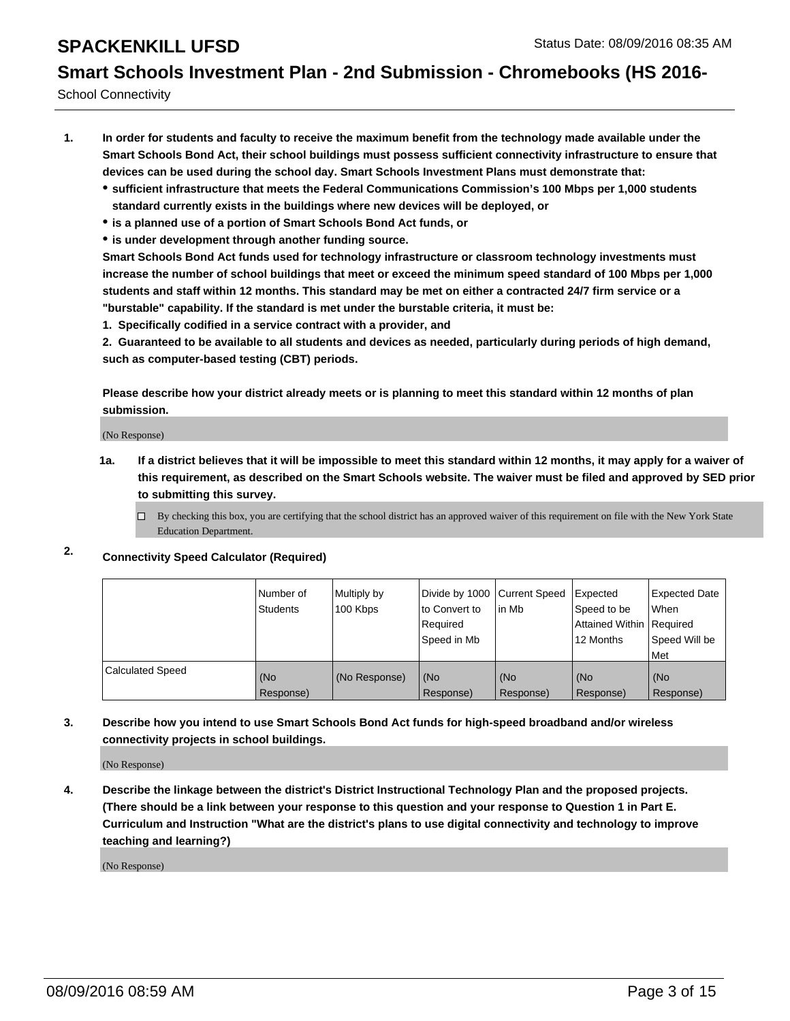## **Smart Schools Investment Plan - 2nd Submission - Chromebooks (HS 2016-**

School Connectivity

- **1. In order for students and faculty to receive the maximum benefit from the technology made available under the Smart Schools Bond Act, their school buildings must possess sufficient connectivity infrastructure to ensure that devices can be used during the school day. Smart Schools Investment Plans must demonstrate that:**
	- **sufficient infrastructure that meets the Federal Communications Commission's 100 Mbps per 1,000 students standard currently exists in the buildings where new devices will be deployed, or**
	- **is a planned use of a portion of Smart Schools Bond Act funds, or**
	- **is under development through another funding source.**

**Smart Schools Bond Act funds used for technology infrastructure or classroom technology investments must increase the number of school buildings that meet or exceed the minimum speed standard of 100 Mbps per 1,000 students and staff within 12 months. This standard may be met on either a contracted 24/7 firm service or a "burstable" capability. If the standard is met under the burstable criteria, it must be:**

**1. Specifically codified in a service contract with a provider, and**

**2. Guaranteed to be available to all students and devices as needed, particularly during periods of high demand, such as computer-based testing (CBT) periods.**

**Please describe how your district already meets or is planning to meet this standard within 12 months of plan submission.**

(No Response)

- **1a. If a district believes that it will be impossible to meet this standard within 12 months, it may apply for a waiver of this requirement, as described on the Smart Schools website. The waiver must be filed and approved by SED prior to submitting this survey.**
	- $\Box$  By checking this box, you are certifying that the school district has an approved waiver of this requirement on file with the New York State Education Department.
- **2. Connectivity Speed Calculator (Required)**

|                         | Number of<br>Students | Multiply by<br>100 Kbps | Divide by 1000 Current Speed<br>to Convert to<br>Required<br>Speed in Mb | in Mb            | Expected<br>Speed to be<br>Attained Within Required<br>12 Months | <b>Expected Date</b><br><b>When</b><br>Speed Will be<br><b>Met</b> |
|-------------------------|-----------------------|-------------------------|--------------------------------------------------------------------------|------------------|------------------------------------------------------------------|--------------------------------------------------------------------|
| <b>Calculated Speed</b> | (No<br>Response)      | (No Response)           | (No<br>Response)                                                         | (No<br>Response) | (No<br>Response)                                                 | (No<br>Response)                                                   |

### **3. Describe how you intend to use Smart Schools Bond Act funds for high-speed broadband and/or wireless connectivity projects in school buildings.**

(No Response)

**4. Describe the linkage between the district's District Instructional Technology Plan and the proposed projects. (There should be a link between your response to this question and your response to Question 1 in Part E. Curriculum and Instruction "What are the district's plans to use digital connectivity and technology to improve teaching and learning?)**

(No Response)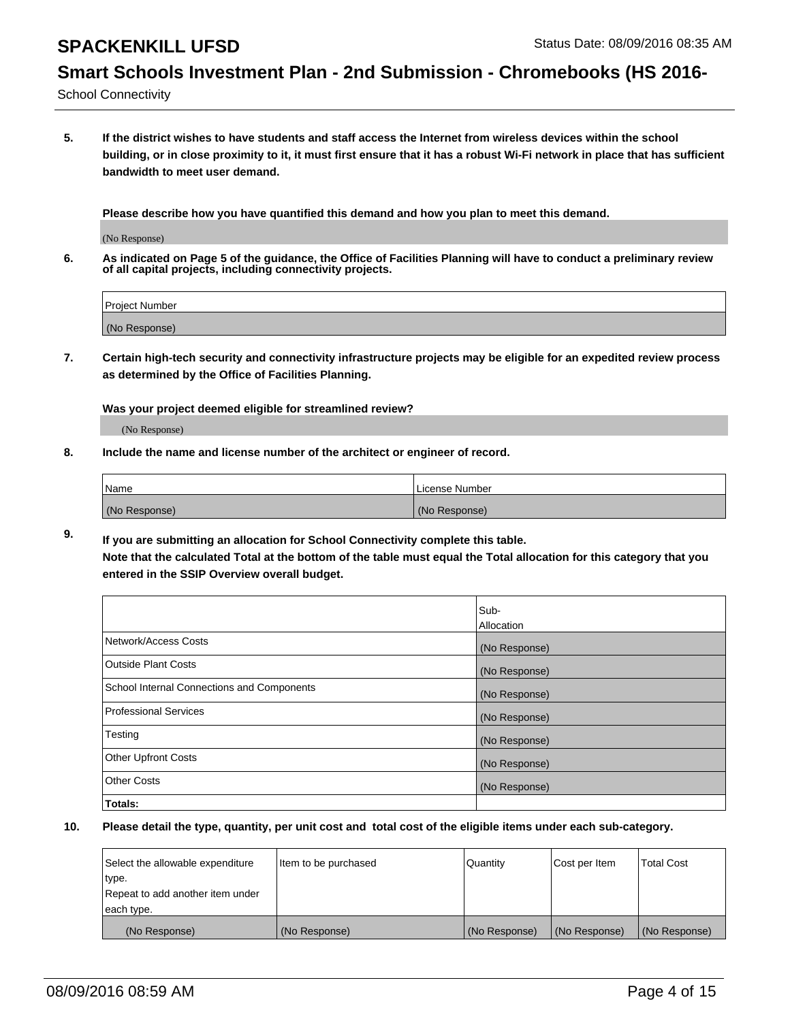# **Smart Schools Investment Plan - 2nd Submission - Chromebooks (HS 2016-**

School Connectivity

**5. If the district wishes to have students and staff access the Internet from wireless devices within the school building, or in close proximity to it, it must first ensure that it has a robust Wi-Fi network in place that has sufficient bandwidth to meet user demand.**

**Please describe how you have quantified this demand and how you plan to meet this demand.**

(No Response)

**6. As indicated on Page 5 of the guidance, the Office of Facilities Planning will have to conduct a preliminary review of all capital projects, including connectivity projects.**

| <b>Project Number</b> |  |
|-----------------------|--|
|                       |  |
| (No Response)         |  |

**7. Certain high-tech security and connectivity infrastructure projects may be eligible for an expedited review process as determined by the Office of Facilities Planning.**

**Was your project deemed eligible for streamlined review?**

(No Response)

**8. Include the name and license number of the architect or engineer of record.**

| Name          | License Number |
|---------------|----------------|
| (No Response) | (No Response)  |

**9. If you are submitting an allocation for School Connectivity complete this table. Note that the calculated Total at the bottom of the table must equal the Total allocation for this category that you entered in the SSIP Overview overall budget.** 

|                                            | Sub-          |
|--------------------------------------------|---------------|
|                                            | Allocation    |
| Network/Access Costs                       | (No Response) |
| <b>Outside Plant Costs</b>                 | (No Response) |
| School Internal Connections and Components | (No Response) |
| <b>Professional Services</b>               | (No Response) |
| Testing                                    | (No Response) |
| <b>Other Upfront Costs</b>                 | (No Response) |
| <b>Other Costs</b>                         | (No Response) |
| Totals:                                    |               |

| Select the allowable expenditure | Item to be purchased | Quantity      | Cost per Item | <b>Total Cost</b> |
|----------------------------------|----------------------|---------------|---------------|-------------------|
| type.                            |                      |               |               |                   |
| Repeat to add another item under |                      |               |               |                   |
| each type.                       |                      |               |               |                   |
| (No Response)                    | (No Response)        | (No Response) | (No Response) | (No Response)     |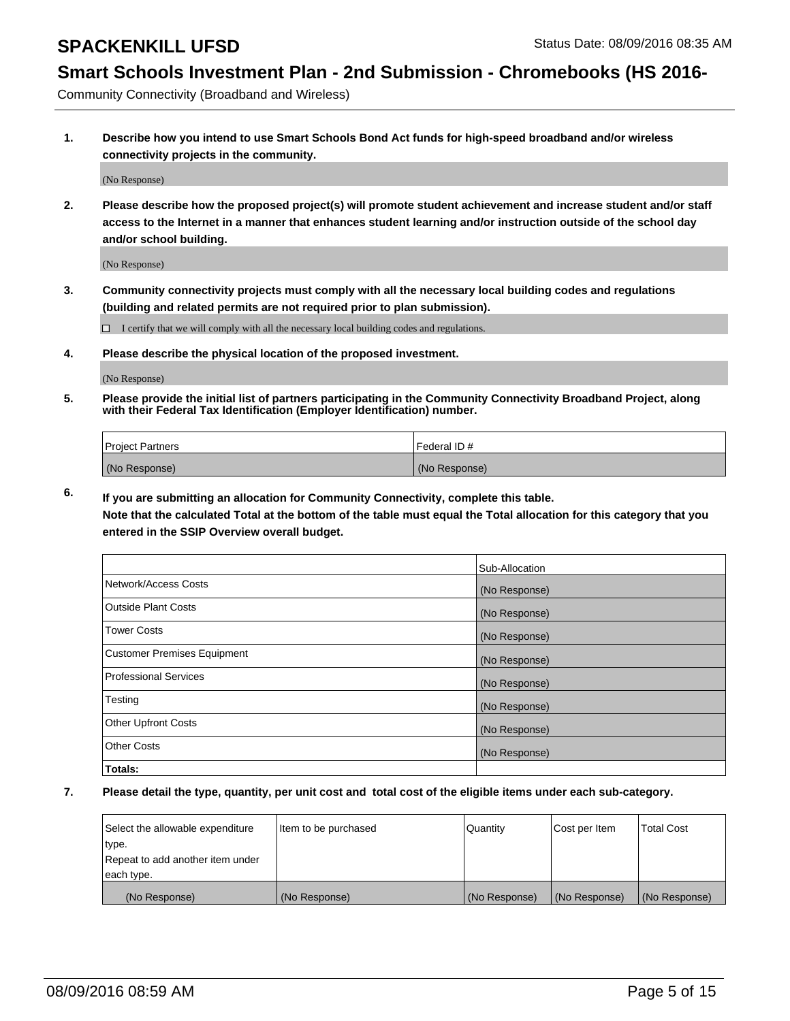### **Smart Schools Investment Plan - 2nd Submission - Chromebooks (HS 2016-**

Community Connectivity (Broadband and Wireless)

**1. Describe how you intend to use Smart Schools Bond Act funds for high-speed broadband and/or wireless connectivity projects in the community.**

(No Response)

**2. Please describe how the proposed project(s) will promote student achievement and increase student and/or staff access to the Internet in a manner that enhances student learning and/or instruction outside of the school day and/or school building.**

(No Response)

**3. Community connectivity projects must comply with all the necessary local building codes and regulations (building and related permits are not required prior to plan submission).**

 $\Box$  I certify that we will comply with all the necessary local building codes and regulations.

**4. Please describe the physical location of the proposed investment.**

(No Response)

**5. Please provide the initial list of partners participating in the Community Connectivity Broadband Project, along with their Federal Tax Identification (Employer Identification) number.**

| <b>Project Partners</b> | <b>IFederal ID#</b> |
|-------------------------|---------------------|
| (No Response)           | (No Response)       |

**6. If you are submitting an allocation for Community Connectivity, complete this table.**

**Note that the calculated Total at the bottom of the table must equal the Total allocation for this category that you entered in the SSIP Overview overall budget.**

|                                    | Sub-Allocation |
|------------------------------------|----------------|
| Network/Access Costs               | (No Response)  |
| Outside Plant Costs                | (No Response)  |
| <b>Tower Costs</b>                 | (No Response)  |
| <b>Customer Premises Equipment</b> | (No Response)  |
| Professional Services              | (No Response)  |
| Testing                            | (No Response)  |
| <b>Other Upfront Costs</b>         | (No Response)  |
| Other Costs                        | (No Response)  |
| Totals:                            |                |

| Select the allowable expenditure | litem to be purchased | Quantity      | Cost per Item | <b>Total Cost</b> |
|----------------------------------|-----------------------|---------------|---------------|-------------------|
| type.                            |                       |               |               |                   |
| Repeat to add another item under |                       |               |               |                   |
| each type.                       |                       |               |               |                   |
| (No Response)                    | (No Response)         | (No Response) | (No Response) | (No Response)     |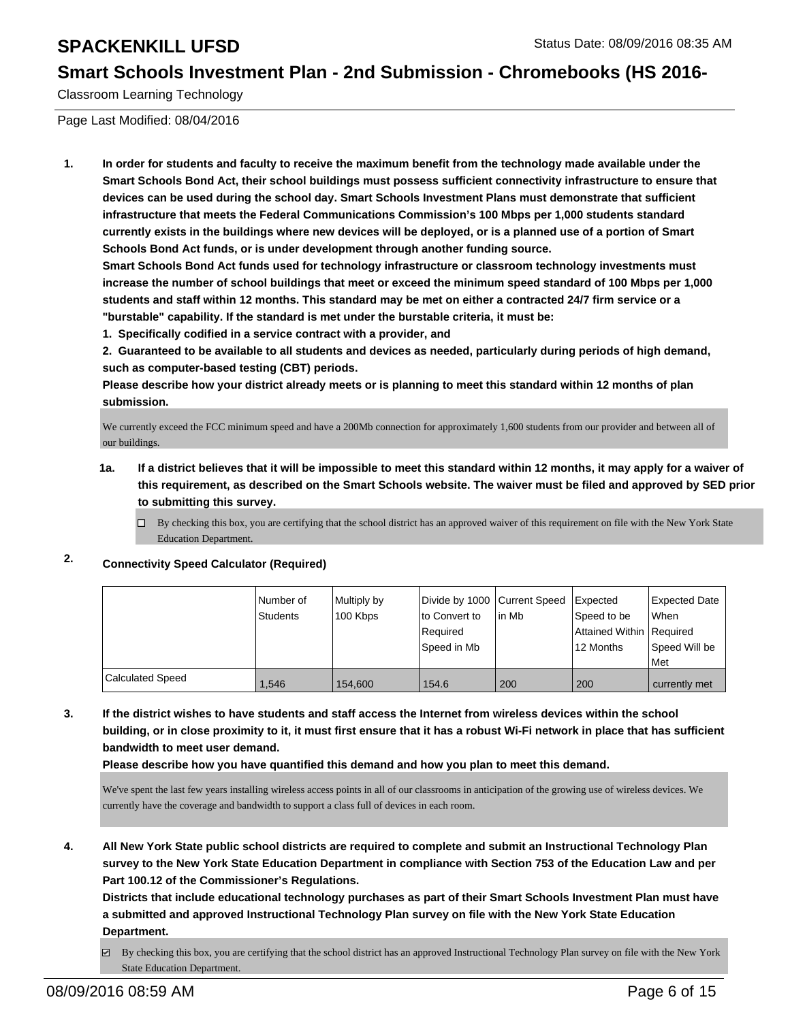### **Smart Schools Investment Plan - 2nd Submission - Chromebooks (HS 2016-**

Classroom Learning Technology

Page Last Modified: 08/04/2016

**1. In order for students and faculty to receive the maximum benefit from the technology made available under the Smart Schools Bond Act, their school buildings must possess sufficient connectivity infrastructure to ensure that devices can be used during the school day. Smart Schools Investment Plans must demonstrate that sufficient infrastructure that meets the Federal Communications Commission's 100 Mbps per 1,000 students standard currently exists in the buildings where new devices will be deployed, or is a planned use of a portion of Smart Schools Bond Act funds, or is under development through another funding source.**

**Smart Schools Bond Act funds used for technology infrastructure or classroom technology investments must increase the number of school buildings that meet or exceed the minimum speed standard of 100 Mbps per 1,000 students and staff within 12 months. This standard may be met on either a contracted 24/7 firm service or a "burstable" capability. If the standard is met under the burstable criteria, it must be:**

**1. Specifically codified in a service contract with a provider, and**

**2. Guaranteed to be available to all students and devices as needed, particularly during periods of high demand, such as computer-based testing (CBT) periods.**

**Please describe how your district already meets or is planning to meet this standard within 12 months of plan submission.**

We currently exceed the FCC minimum speed and have a 200Mb connection for approximately 1,600 students from our provider and between all of our buildings.

- **1a. If a district believes that it will be impossible to meet this standard within 12 months, it may apply for a waiver of this requirement, as described on the Smart Schools website. The waiver must be filed and approved by SED prior to submitting this survey.**
	- $\Box$  By checking this box, you are certifying that the school district has an approved waiver of this requirement on file with the New York State Education Department.

### **2. Connectivity Speed Calculator (Required)**

|                         | Number of | Multiply by | Divide by 1000 Current Speed |        | <b>I</b> Expected        | <b>Expected Date</b> |
|-------------------------|-----------|-------------|------------------------------|--------|--------------------------|----------------------|
|                         | Students  | 100 Kbps    | Ito Convert to               | lin Mb | Speed to be              | <b>When</b>          |
|                         |           |             | Required                     |        | Attained Within Required |                      |
|                         |           |             | Speed in Mb                  |        | 12 Months                | Speed Will be        |
|                         |           |             |                              |        |                          | l Met                |
| <b>Calculated Speed</b> | 1.546     | 154,600     | 154.6                        | 200    | 200                      | currently met        |

**3. If the district wishes to have students and staff access the Internet from wireless devices within the school building, or in close proximity to it, it must first ensure that it has a robust Wi-Fi network in place that has sufficient bandwidth to meet user demand.**

**Please describe how you have quantified this demand and how you plan to meet this demand.**

We've spent the last few years installing wireless access points in all of our classrooms in anticipation of the growing use of wireless devices. We currently have the coverage and bandwidth to support a class full of devices in each room.

**4. All New York State public school districts are required to complete and submit an Instructional Technology Plan survey to the New York State Education Department in compliance with Section 753 of the Education Law and per Part 100.12 of the Commissioner's Regulations.**

**Districts that include educational technology purchases as part of their Smart Schools Investment Plan must have a submitted and approved Instructional Technology Plan survey on file with the New York State Education Department.**

 $\boxtimes$  By checking this box, you are certifying that the school district has an approved Instructional Technology Plan survey on file with the New York State Education Department.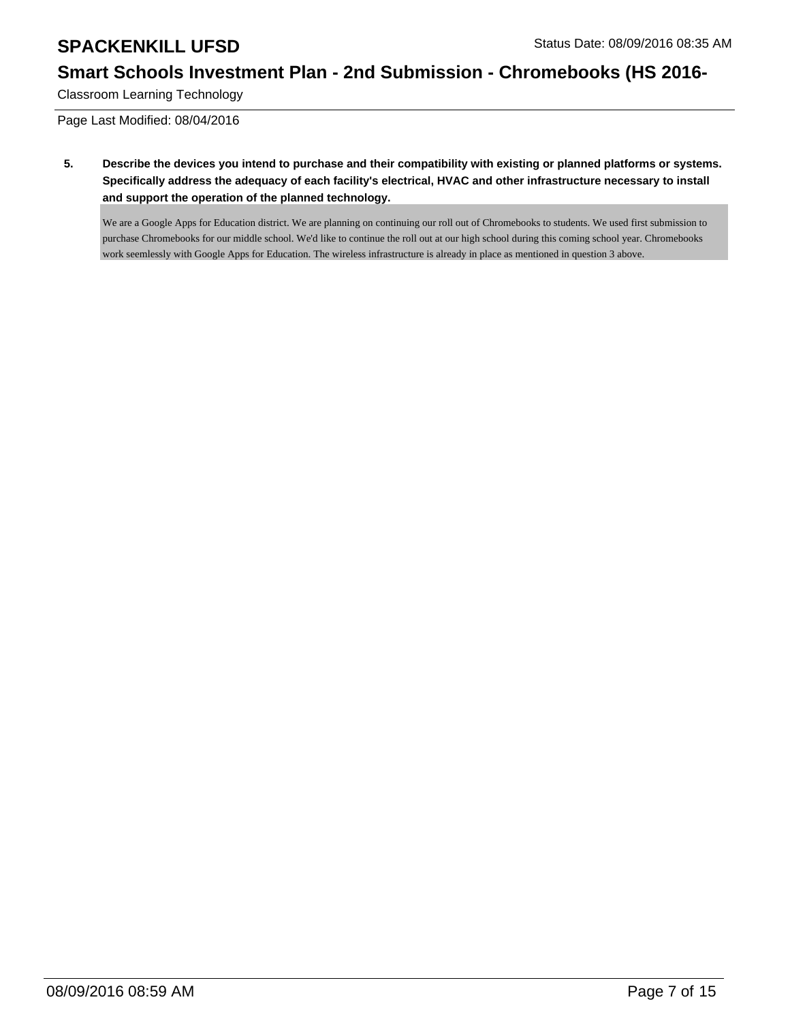## **Smart Schools Investment Plan - 2nd Submission - Chromebooks (HS 2016-**

Classroom Learning Technology

Page Last Modified: 08/04/2016

**5. Describe the devices you intend to purchase and their compatibility with existing or planned platforms or systems. Specifically address the adequacy of each facility's electrical, HVAC and other infrastructure necessary to install and support the operation of the planned technology.**

We are a Google Apps for Education district. We are planning on continuing our roll out of Chromebooks to students. We used first submission to purchase Chromebooks for our middle school. We'd like to continue the roll out at our high school during this coming school year. Chromebooks work seemlessly with Google Apps for Education. The wireless infrastructure is already in place as mentioned in question 3 above.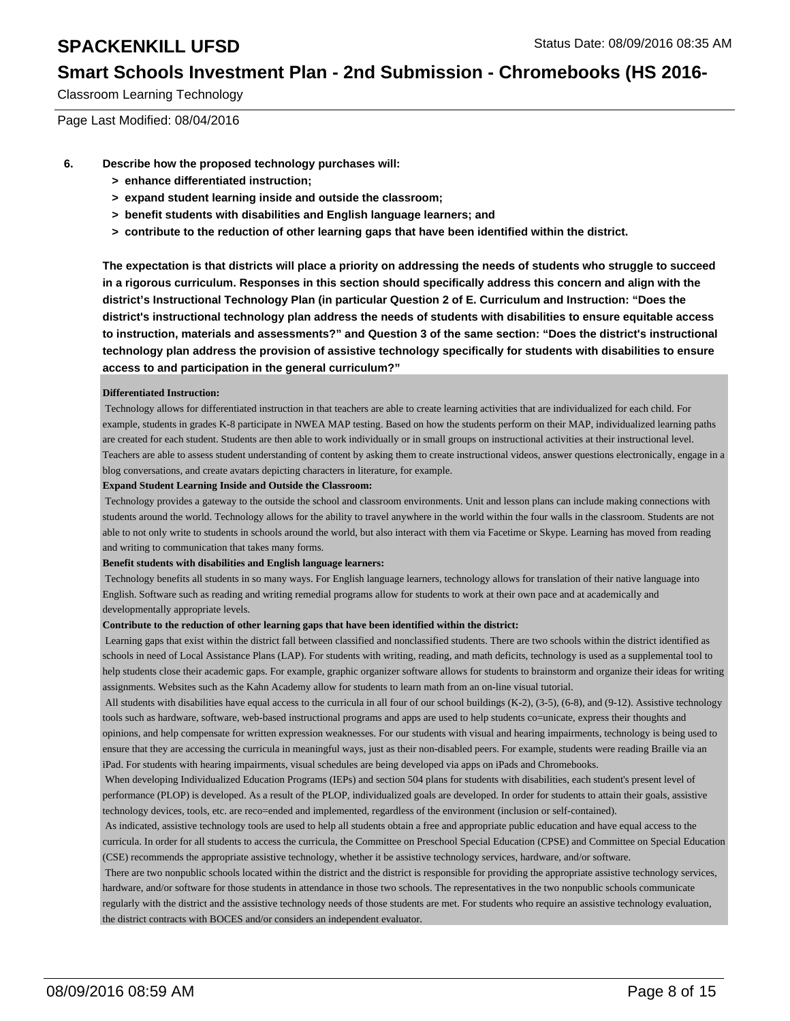### **Smart Schools Investment Plan - 2nd Submission - Chromebooks (HS 2016-**

Classroom Learning Technology

Page Last Modified: 08/04/2016

- **6. Describe how the proposed technology purchases will:**
	- **> enhance differentiated instruction;**
	- **> expand student learning inside and outside the classroom;**
	- **> benefit students with disabilities and English language learners; and**
	- **> contribute to the reduction of other learning gaps that have been identified within the district.**

**The expectation is that districts will place a priority on addressing the needs of students who struggle to succeed in a rigorous curriculum. Responses in this section should specifically address this concern and align with the district's Instructional Technology Plan (in particular Question 2 of E. Curriculum and Instruction: "Does the district's instructional technology plan address the needs of students with disabilities to ensure equitable access to instruction, materials and assessments?" and Question 3 of the same section: "Does the district's instructional technology plan address the provision of assistive technology specifically for students with disabilities to ensure access to and participation in the general curriculum?"**

#### **Differentiated Instruction:**

 Technology allows for differentiated instruction in that teachers are able to create learning activities that are individualized for each child. For example, students in grades K-8 participate in NWEA MAP testing. Based on how the students perform on their MAP, individualized learning paths are created for each student. Students are then able to work individually or in small groups on instructional activities at their instructional level. Teachers are able to assess student understanding of content by asking them to create instructional videos, answer questions electronically, engage in a blog conversations, and create avatars depicting characters in literature, for example.

#### **Expand Student Learning Inside and Outside the Classroom:**

 Technology provides a gateway to the outside the school and classroom environments. Unit and lesson plans can include making connections with students around the world. Technology allows for the ability to travel anywhere in the world within the four walls in the classroom. Students are not able to not only write to students in schools around the world, but also interact with them via Facetime or Skype. Learning has moved from reading and writing to communication that takes many forms.

#### **Benefit students with disabilities and English language learners:**

 Technology benefits all students in so many ways. For English language learners, technology allows for translation of their native language into English. Software such as reading and writing remedial programs allow for students to work at their own pace and at academically and developmentally appropriate levels.

#### **Contribute to the reduction of other learning gaps that have been identified within the district:**

 Learning gaps that exist within the district fall between classified and nonclassified students. There are two schools within the district identified as schools in need of Local Assistance Plans (LAP). For students with writing, reading, and math deficits, technology is used as a supplemental tool to help students close their academic gaps. For example, graphic organizer software allows for students to brainstorm and organize their ideas for writing assignments. Websites such as the Kahn Academy allow for students to learn math from an on-line visual tutorial.

All students with disabilities have equal access to the curricula in all four of our school buildings (K-2), (3-5), (6-8), and (9-12). Assistive technology tools such as hardware, software, web-based instructional programs and apps are used to help students co=unicate, express their thoughts and opinions, and help compensate for written expression weaknesses. For our students with visual and hearing impairments, technology is being used to ensure that they are accessing the curricula in meaningful ways, just as their non-disabled peers. For example, students were reading Braille via an iPad. For students with hearing impairments, visual schedules are being developed via apps on iPads and Chromebooks.

 When developing Individualized Education Programs (IEPs) and section 504 plans for students with disabilities, each student's present level of performance (PLOP) is developed. As a result of the PLOP, individualized goals are developed. In order for students to attain their goals, assistive technology devices, tools, etc. are reco=ended and implemented, regardless of the environment (inclusion or self-contained).

 As indicated, assistive technology tools are used to help all students obtain a free and appropriate public education and have equal access to the curricula. In order for all students to access the curricula, the Committee on Preschool Special Education (CPSE) and Committee on Special Education (CSE) recommends the appropriate assistive technology, whether it be assistive technology services, hardware, and/or software.

 There are two nonpublic schools located within the district and the district is responsible for providing the appropriate assistive technology services, hardware, and/or software for those students in attendance in those two schools. The representatives in the two nonpublic schools communicate regularly with the district and the assistive technology needs of those students are met. For students who require an assistive technology evaluation, the district contracts with BOCES and/or considers an independent evaluator.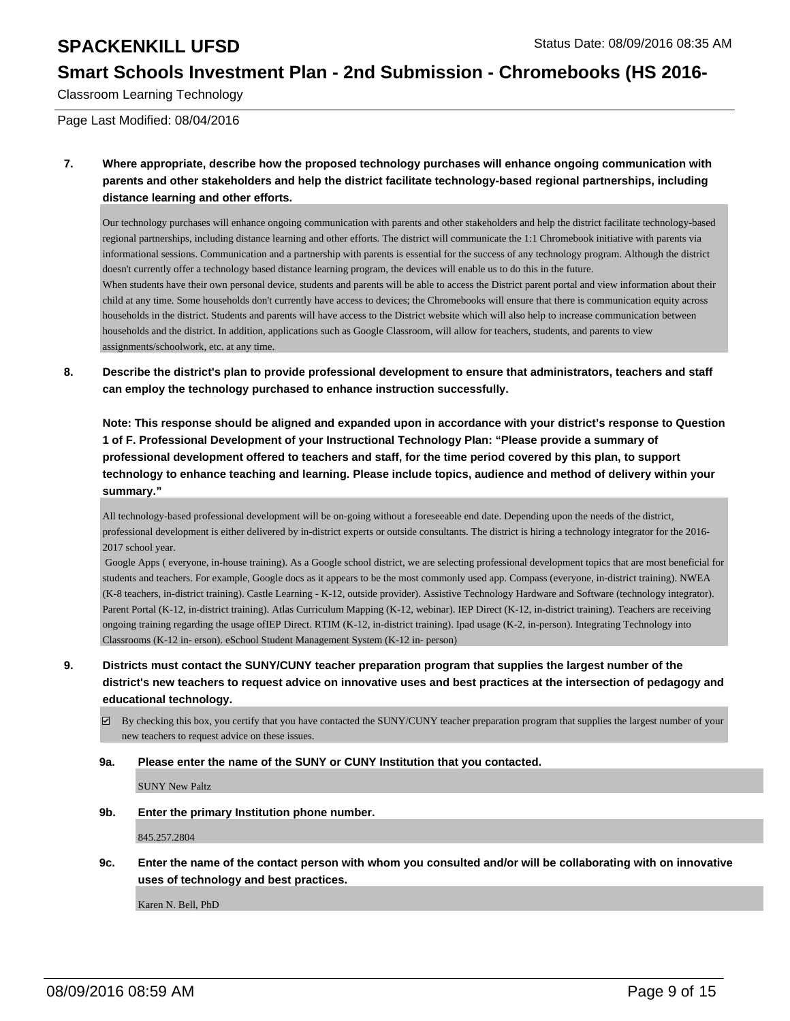### **Smart Schools Investment Plan - 2nd Submission - Chromebooks (HS 2016-**

Classroom Learning Technology

Page Last Modified: 08/04/2016

**7. Where appropriate, describe how the proposed technology purchases will enhance ongoing communication with parents and other stakeholders and help the district facilitate technology-based regional partnerships, including distance learning and other efforts.**

Our technology purchases will enhance ongoing communication with parents and other stakeholders and help the district facilitate technology-based regional partnerships, including distance learning and other efforts. The district will communicate the 1:1 Chromebook initiative with parents via informational sessions. Communication and a partnership with parents is essential for the success of any technology program. Although the district doesn't currently offer a technology based distance learning program, the devices will enable us to do this in the future. When students have their own personal device, students and parents will be able to access the District parent portal and view information about their child at any time. Some households don't currently have access to devices; the Chromebooks will ensure that there is communication equity across households in the district. Students and parents will have access to the District website which will also help to increase communication between households and the district. In addition, applications such as Google Classroom, will allow for teachers, students, and parents to view assignments/schoolwork, etc. at any time.

**8. Describe the district's plan to provide professional development to ensure that administrators, teachers and staff can employ the technology purchased to enhance instruction successfully.**

**Note: This response should be aligned and expanded upon in accordance with your district's response to Question 1 of F. Professional Development of your Instructional Technology Plan: "Please provide a summary of professional development offered to teachers and staff, for the time period covered by this plan, to support technology to enhance teaching and learning. Please include topics, audience and method of delivery within your summary."**

All technology-based professional development will be on-going without a foreseeable end date. Depending upon the needs of the district, professional development is either delivered by in-district experts or outside consultants. The district is hiring a technology integrator for the 2016- 2017 school year.

 Google Apps ( everyone, in-house training). As a Google school district, we are selecting professional development topics that are most beneficial for students and teachers. For example, Google docs as it appears to be the most commonly used app. Compass (everyone, in-district training). NWEA (K-8 teachers, in-district training). Castle Learning - K-12, outside provider). Assistive Technology Hardware and Software (technology integrator). Parent Portal (K-12, in-district training). Atlas Curriculum Mapping (K-12, webinar). IEP Direct (K-12, in-district training). Teachers are receiving ongoing training regarding the usage ofIEP Direct. RTIM (K-12, in-district training). Ipad usage (K-2, in-person). Integrating Technology into Classrooms (K-12 in- erson). eSchool Student Management System (K-12 in- person)

- **9. Districts must contact the SUNY/CUNY teacher preparation program that supplies the largest number of the district's new teachers to request advice on innovative uses and best practices at the intersection of pedagogy and educational technology.**
	- $\boxtimes$  By checking this box, you certify that you have contacted the SUNY/CUNY teacher preparation program that supplies the largest number of your new teachers to request advice on these issues.

**9a. Please enter the name of the SUNY or CUNY Institution that you contacted.**

SUNY New Paltz

**9b. Enter the primary Institution phone number.**

845.257.2804

**9c. Enter the name of the contact person with whom you consulted and/or will be collaborating with on innovative uses of technology and best practices.**

Karen N. Bell, PhD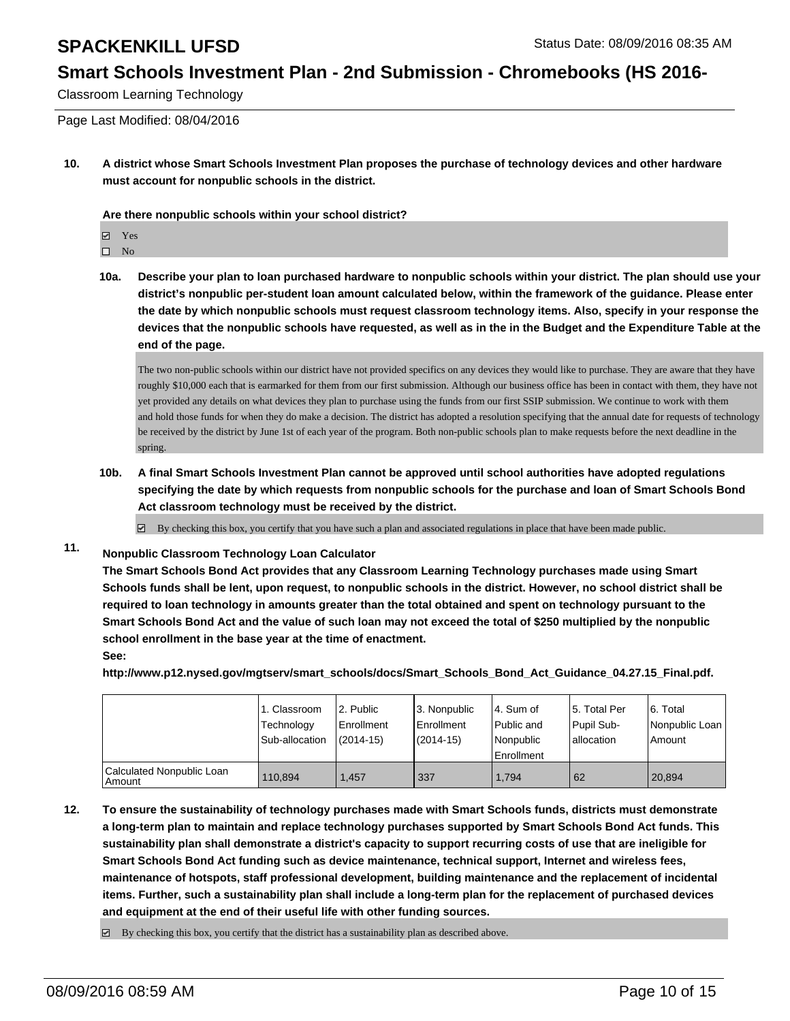### **Smart Schools Investment Plan - 2nd Submission - Chromebooks (HS 2016-**

Classroom Learning Technology

Page Last Modified: 08/04/2016

**10. A district whose Smart Schools Investment Plan proposes the purchase of technology devices and other hardware must account for nonpublic schools in the district.**

**Are there nonpublic schools within your school district?**

Yes

 $\square$  No

**10a. Describe your plan to loan purchased hardware to nonpublic schools within your district. The plan should use your district's nonpublic per-student loan amount calculated below, within the framework of the guidance. Please enter the date by which nonpublic schools must request classroom technology items. Also, specify in your response the devices that the nonpublic schools have requested, as well as in the in the Budget and the Expenditure Table at the end of the page.**

The two non-public schools within our district have not provided specifics on any devices they would like to purchase. They are aware that they have roughly \$10,000 each that is earmarked for them from our first submission. Although our business office has been in contact with them, they have not yet provided any details on what devices they plan to purchase using the funds from our first SSIP submission. We continue to work with them and hold those funds for when they do make a decision. The district has adopted a resolution specifying that the annual date for requests of technology be received by the district by June 1st of each year of the program. Both non-public schools plan to make requests before the next deadline in the spring.

**10b. A final Smart Schools Investment Plan cannot be approved until school authorities have adopted regulations specifying the date by which requests from nonpublic schools for the purchase and loan of Smart Schools Bond Act classroom technology must be received by the district.**

 $\overline{\mathcal{L}}$ By checking this box, you certify that you have such a plan and associated regulations in place that have been made public.

**11. Nonpublic Classroom Technology Loan Calculator**

**The Smart Schools Bond Act provides that any Classroom Learning Technology purchases made using Smart Schools funds shall be lent, upon request, to nonpublic schools in the district. However, no school district shall be required to loan technology in amounts greater than the total obtained and spent on technology pursuant to the Smart Schools Bond Act and the value of such loan may not exceed the total of \$250 multiplied by the nonpublic school enrollment in the base year at the time of enactment. See:**

**http://www.p12.nysed.gov/mgtserv/smart\_schools/docs/Smart\_Schools\_Bond\_Act\_Guidance\_04.27.15\_Final.pdf.**

|                                     | 1. Classroom<br>Technology<br>Sub-allocation | 2. Public<br><b>Enrollment</b><br>$(2014-15)$ | 3. Nonpublic<br>Enrollment<br>$(2014 - 15)$ | l 4. Sum of<br>l Public and<br>Nonpublic<br>Enrollment | 5. Total Per<br>Pupil Sub-<br>lallocation | 6. Total<br>Nonpublic Loan<br>Amount |
|-------------------------------------|----------------------------------------------|-----------------------------------------------|---------------------------------------------|--------------------------------------------------------|-------------------------------------------|--------------------------------------|
| Calculated Nonpublic Loan<br>Amount | 110.894                                      | .457                                          | 337                                         | 1.794                                                  | 62                                        | 20.894                               |

**12. To ensure the sustainability of technology purchases made with Smart Schools funds, districts must demonstrate a long-term plan to maintain and replace technology purchases supported by Smart Schools Bond Act funds. This sustainability plan shall demonstrate a district's capacity to support recurring costs of use that are ineligible for Smart Schools Bond Act funding such as device maintenance, technical support, Internet and wireless fees, maintenance of hotspots, staff professional development, building maintenance and the replacement of incidental items. Further, such a sustainability plan shall include a long-term plan for the replacement of purchased devices and equipment at the end of their useful life with other funding sources.**

 $\boxtimes$  By checking this box, you certify that the district has a sustainability plan as described above.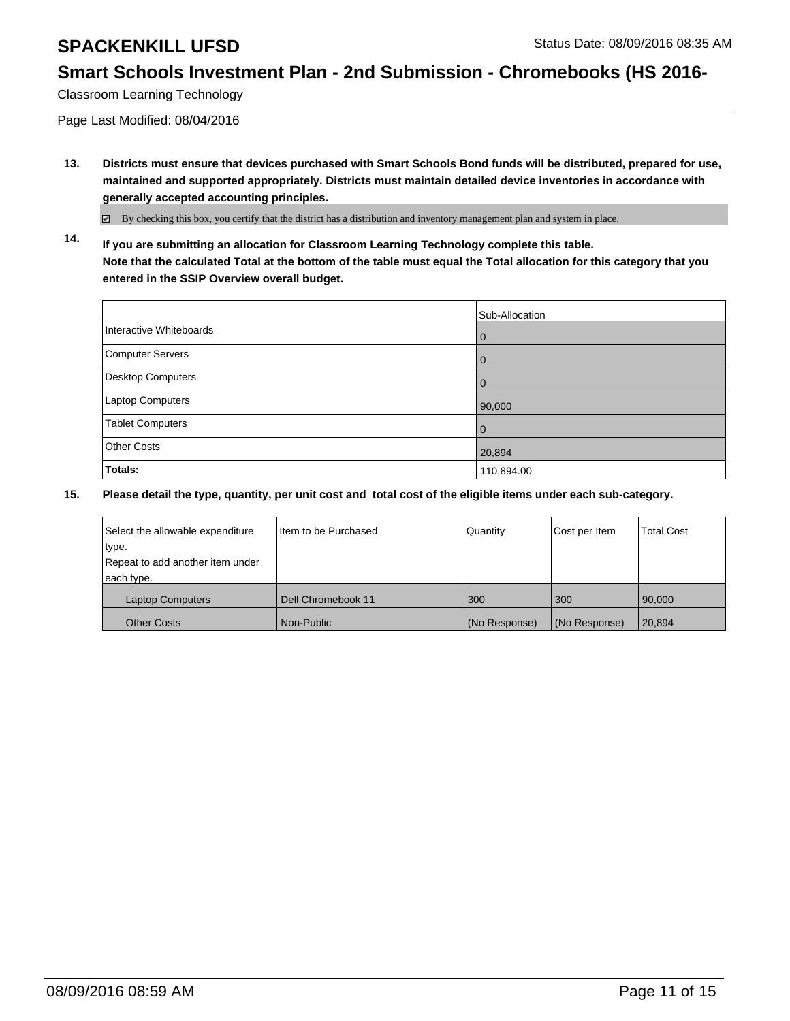## **Smart Schools Investment Plan - 2nd Submission - Chromebooks (HS 2016-**

Classroom Learning Technology

Page Last Modified: 08/04/2016

**13. Districts must ensure that devices purchased with Smart Schools Bond funds will be distributed, prepared for use, maintained and supported appropriately. Districts must maintain detailed device inventories in accordance with generally accepted accounting principles.**

By checking this box, you certify that the district has a distribution and inventory management plan and system in place.

**14. If you are submitting an allocation for Classroom Learning Technology complete this table. Note that the calculated Total at the bottom of the table must equal the Total allocation for this category that you entered in the SSIP Overview overall budget.**

|                          | Sub-Allocation |
|--------------------------|----------------|
| Interactive Whiteboards  | $\mathbf 0$    |
| Computer Servers         | $\mathbf 0$    |
| <b>Desktop Computers</b> | $\mathbf 0$    |
| Laptop Computers         | 90,000         |
| <b>Tablet Computers</b>  | $\mathbf 0$    |
| <b>Other Costs</b>       | 20,894         |
| Totals:                  | 110,894.00     |

| Select the allowable expenditure | I Item to be Purchased | Quantity      | Cost per Item | Total Cost |
|----------------------------------|------------------------|---------------|---------------|------------|
| type.                            |                        |               |               |            |
| Repeat to add another item under |                        |               |               |            |
| each type.                       |                        |               |               |            |
| <b>Laptop Computers</b>          | Dell Chromebook 11     | 300           | 300           | 90,000     |
| <b>Other Costs</b>               | l Non-Public           | (No Response) | (No Response) | 20,894     |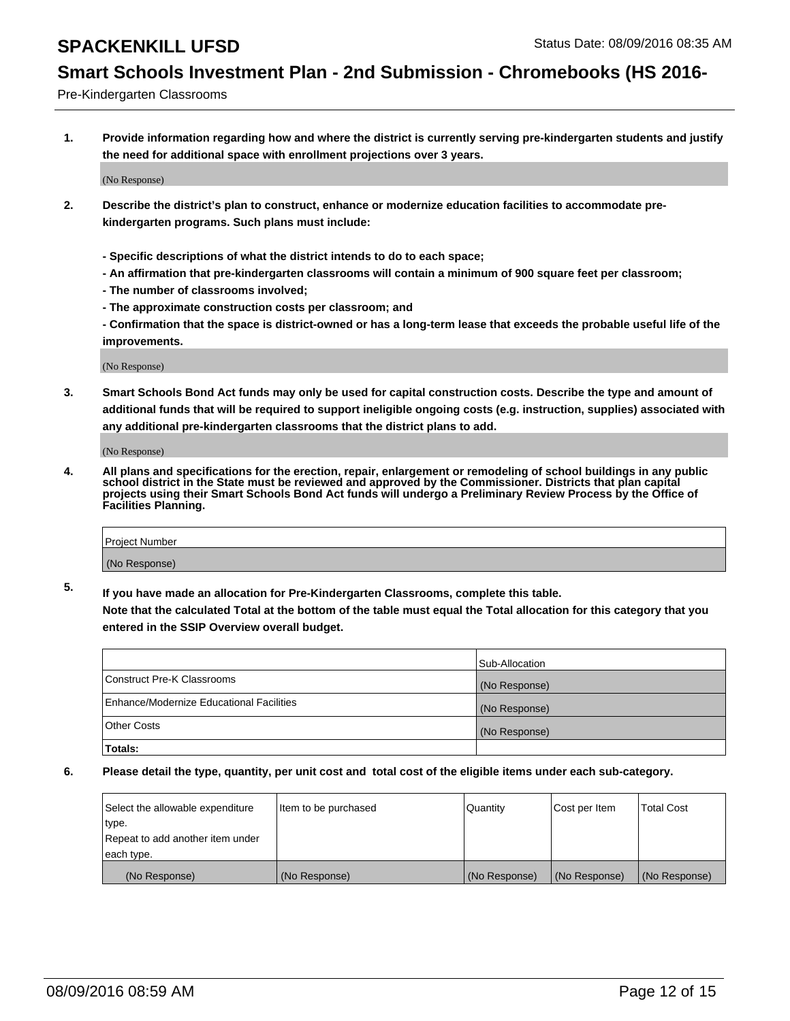### **Smart Schools Investment Plan - 2nd Submission - Chromebooks (HS 2016-**

Pre-Kindergarten Classrooms

**1. Provide information regarding how and where the district is currently serving pre-kindergarten students and justify the need for additional space with enrollment projections over 3 years.**

(No Response)

- **2. Describe the district's plan to construct, enhance or modernize education facilities to accommodate prekindergarten programs. Such plans must include:**
	- **Specific descriptions of what the district intends to do to each space;**
	- **An affirmation that pre-kindergarten classrooms will contain a minimum of 900 square feet per classroom;**
	- **The number of classrooms involved;**
	- **The approximate construction costs per classroom; and**
	- **Confirmation that the space is district-owned or has a long-term lease that exceeds the probable useful life of the improvements.**

(No Response)

**3. Smart Schools Bond Act funds may only be used for capital construction costs. Describe the type and amount of additional funds that will be required to support ineligible ongoing costs (e.g. instruction, supplies) associated with any additional pre-kindergarten classrooms that the district plans to add.**

(No Response)

**4. All plans and specifications for the erection, repair, enlargement or remodeling of school buildings in any public school district in the State must be reviewed and approved by the Commissioner. Districts that plan capital projects using their Smart Schools Bond Act funds will undergo a Preliminary Review Process by the Office of Facilities Planning.**

| Project Number |  |
|----------------|--|
| (No Response)  |  |

**5. If you have made an allocation for Pre-Kindergarten Classrooms, complete this table. Note that the calculated Total at the bottom of the table must equal the Total allocation for this category that you**

**entered in the SSIP Overview overall budget.**

|                                          | Sub-Allocation |
|------------------------------------------|----------------|
| Construct Pre-K Classrooms               | (No Response)  |
| Enhance/Modernize Educational Facilities | (No Response)  |
| Other Costs                              | (No Response)  |
| Totals:                                  |                |

| Select the allowable expenditure | Item to be purchased | <b>Quantity</b> | Cost per Item | <b>Total Cost</b> |
|----------------------------------|----------------------|-----------------|---------------|-------------------|
| type.                            |                      |                 |               |                   |
| Repeat to add another item under |                      |                 |               |                   |
| each type.                       |                      |                 |               |                   |
| (No Response)                    | (No Response)        | (No Response)   | (No Response) | (No Response)     |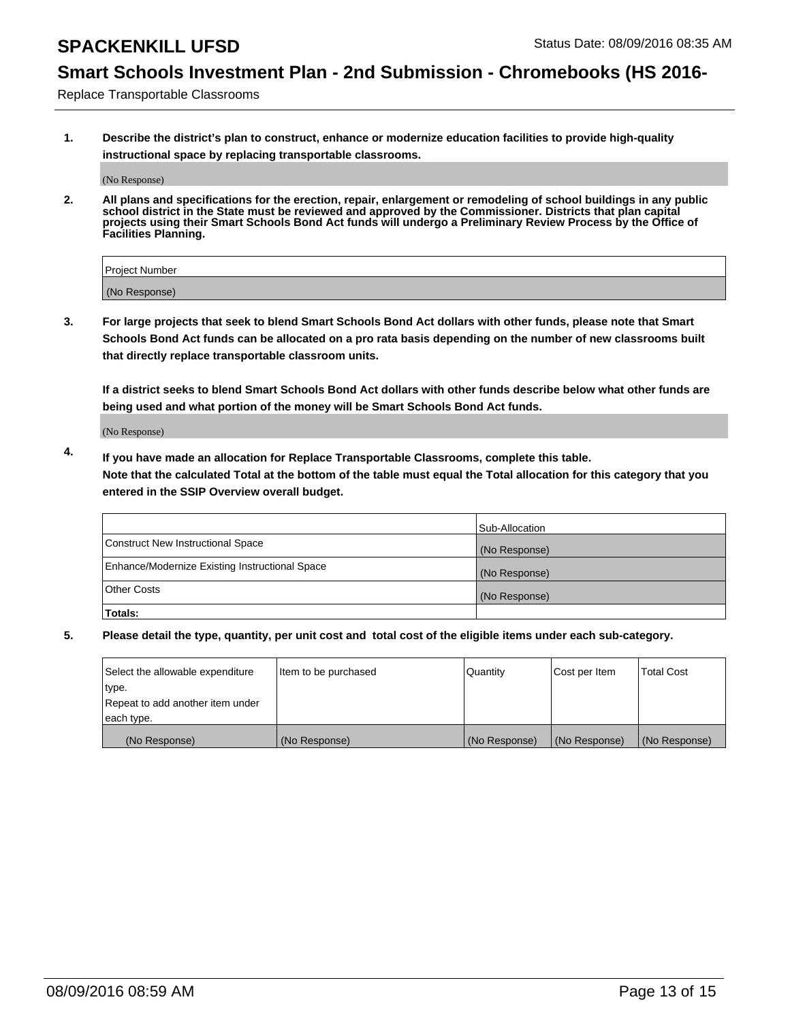## **Smart Schools Investment Plan - 2nd Submission - Chromebooks (HS 2016-**

Replace Transportable Classrooms

**1. Describe the district's plan to construct, enhance or modernize education facilities to provide high-quality instructional space by replacing transportable classrooms.**

(No Response)

**2. All plans and specifications for the erection, repair, enlargement or remodeling of school buildings in any public school district in the State must be reviewed and approved by the Commissioner. Districts that plan capital projects using their Smart Schools Bond Act funds will undergo a Preliminary Review Process by the Office of Facilities Planning.**

| Project Number |  |
|----------------|--|
|                |  |
| (No Response)  |  |

**3. For large projects that seek to blend Smart Schools Bond Act dollars with other funds, please note that Smart Schools Bond Act funds can be allocated on a pro rata basis depending on the number of new classrooms built that directly replace transportable classroom units.**

**If a district seeks to blend Smart Schools Bond Act dollars with other funds describe below what other funds are being used and what portion of the money will be Smart Schools Bond Act funds.**

(No Response)

**4. If you have made an allocation for Replace Transportable Classrooms, complete this table. Note that the calculated Total at the bottom of the table must equal the Total allocation for this category that you entered in the SSIP Overview overall budget.**

|                                                | Sub-Allocation |
|------------------------------------------------|----------------|
| Construct New Instructional Space              | (No Response)  |
| Enhance/Modernize Existing Instructional Space | (No Response)  |
| Other Costs                                    | (No Response)  |
| Totals:                                        |                |

| Select the allowable expenditure | Item to be purchased | Quantity      | Cost per Item | <b>Total Cost</b> |
|----------------------------------|----------------------|---------------|---------------|-------------------|
| type.                            |                      |               |               |                   |
| Repeat to add another item under |                      |               |               |                   |
| each type.                       |                      |               |               |                   |
| (No Response)                    | (No Response)        | (No Response) | (No Response) | (No Response)     |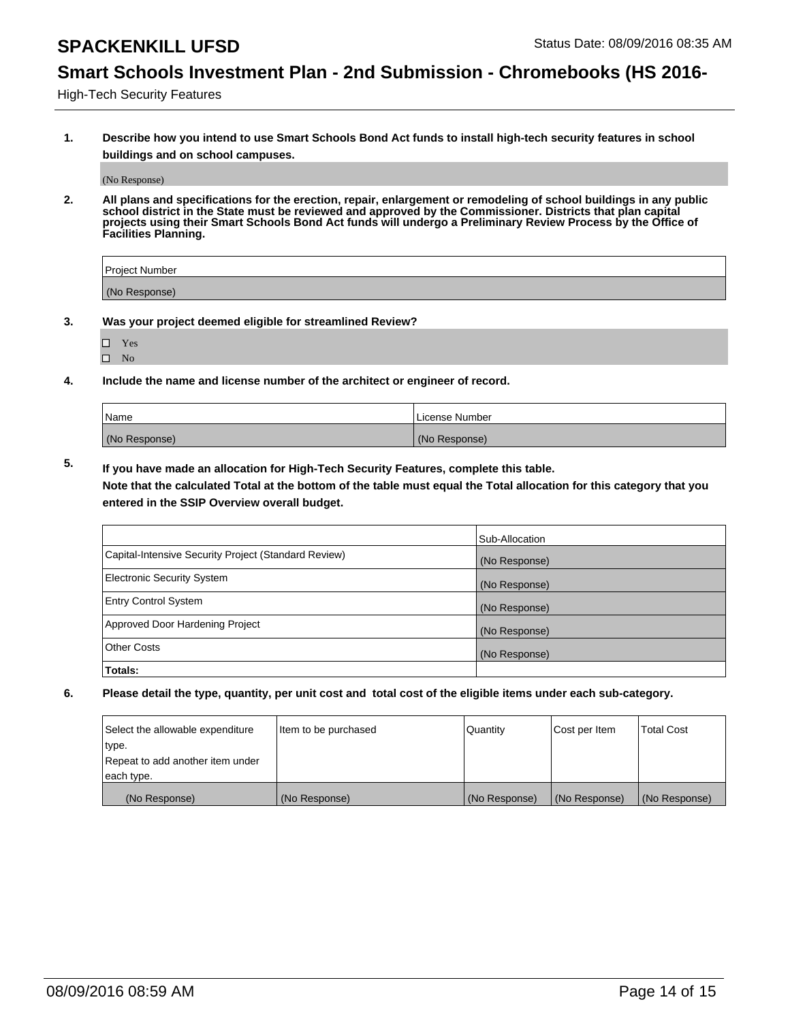## **Smart Schools Investment Plan - 2nd Submission - Chromebooks (HS 2016-**

High-Tech Security Features

**1. Describe how you intend to use Smart Schools Bond Act funds to install high-tech security features in school buildings and on school campuses.**

(No Response)

**2. All plans and specifications for the erection, repair, enlargement or remodeling of school buildings in any public school district in the State must be reviewed and approved by the Commissioner. Districts that plan capital projects using their Smart Schools Bond Act funds will undergo a Preliminary Review Process by the Office of Facilities Planning.** 

| Project Number |  |
|----------------|--|
| (No Response)  |  |

- **3. Was your project deemed eligible for streamlined Review?**
	- Yes
	- $\square$  No
- **4. Include the name and license number of the architect or engineer of record.**

| Name          | License Number |
|---------------|----------------|
| (No Response) | (No Response)  |

**5. If you have made an allocation for High-Tech Security Features, complete this table.**

**Note that the calculated Total at the bottom of the table must equal the Total allocation for this category that you entered in the SSIP Overview overall budget.**

|                                                      | Sub-Allocation |
|------------------------------------------------------|----------------|
| Capital-Intensive Security Project (Standard Review) | (No Response)  |
| <b>Electronic Security System</b>                    | (No Response)  |
| <b>Entry Control System</b>                          | (No Response)  |
| Approved Door Hardening Project                      | (No Response)  |
| <b>Other Costs</b>                                   | (No Response)  |
| Totals:                                              |                |

| Select the allowable expenditure | Item to be purchased | Quantity      | Cost per Item | <b>Total Cost</b> |
|----------------------------------|----------------------|---------------|---------------|-------------------|
| type.                            |                      |               |               |                   |
| Repeat to add another item under |                      |               |               |                   |
| each type.                       |                      |               |               |                   |
| (No Response)                    | (No Response)        | (No Response) | (No Response) | (No Response)     |